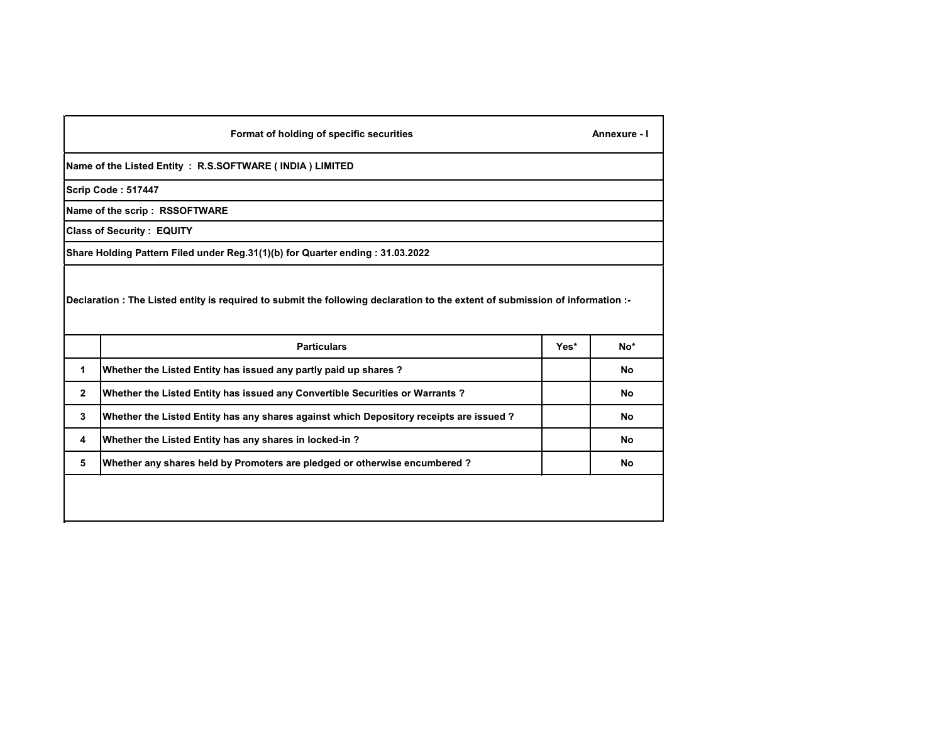|              | Format of holding of specific securities                                                                                    |      | Annexure - I |
|--------------|-----------------------------------------------------------------------------------------------------------------------------|------|--------------|
|              | Name of the Listed Entity: R.S.SOFTWARE (INDIA) LIMITED                                                                     |      |              |
|              | Scrip Code: 517447                                                                                                          |      |              |
|              | Name of the scrip: RSSOFTWARE                                                                                               |      |              |
|              | <b>Class of Security: EQUITY</b>                                                                                            |      |              |
|              | Share Holding Pattern Filed under Reg.31(1)(b) for Quarter ending:31.03.2022                                                |      |              |
|              | Declaration: The Listed entity is required to submit the following declaration to the extent of submission of information:- |      |              |
|              | <b>Particulars</b>                                                                                                          | Yes* | $No*$        |
| 1            | Whether the Listed Entity has issued any partly paid up shares?                                                             |      | No           |
| $\mathbf{2}$ | Whether the Listed Entity has issued any Convertible Securities or Warrants?                                                |      | No           |
| 3            | Whether the Listed Entity has any shares against which Depository receipts are issued ?                                     |      | No           |
| 4            | Whether the Listed Entity has any shares in locked-in?                                                                      |      | No           |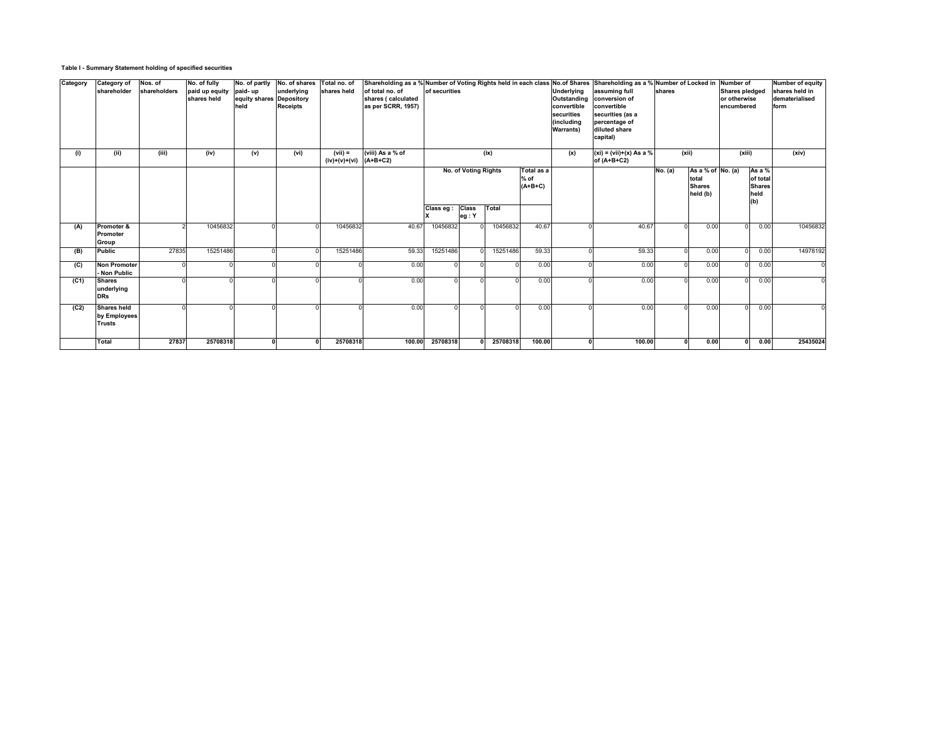# **Table I - Summary Statement holding of specified securities**

| Category | <b>Category of</b><br>shareholder                   | Nos. of<br>shareholders | No. of fully<br>paid up equity<br>shares held | No. of partly<br>paid-up<br>equity shares Depository<br>held | No. of shares<br>underlying<br><b>Receipts</b> | Total no. of<br>shares held  | of total no. of<br>shares ( calculated<br>as per SCRR, 1957) | of securities    |                             |          |                                   | Underlying<br>Outstanding<br>convertible<br>securities<br>(including<br><b>Warrants</b> ) | Shareholding as a % Number of Voting Rights held in each class No.of Shares Shareholding as a % Number of Locked in<br>assuming full<br>conversion of<br>convertible<br>securities (as a<br>percentage of<br>diluted share<br>capital) | shares  |                                                                    | Number of<br><b>Shares pledged</b><br>or otherwise<br>encumbered |                                                    | <b>Number of equity</b><br>shares held in<br>dematerialised<br>form |
|----------|-----------------------------------------------------|-------------------------|-----------------------------------------------|--------------------------------------------------------------|------------------------------------------------|------------------------------|--------------------------------------------------------------|------------------|-----------------------------|----------|-----------------------------------|-------------------------------------------------------------------------------------------|----------------------------------------------------------------------------------------------------------------------------------------------------------------------------------------------------------------------------------------|---------|--------------------------------------------------------------------|------------------------------------------------------------------|----------------------------------------------------|---------------------------------------------------------------------|
| (i)      | (ii)                                                | (iii)                   | (iv)                                          | (v)                                                          | (vi)                                           | $(vii) =$<br>$(iv)+(v)+(vi)$ | (viii) As a % of<br>$(A+B+C2)$                               |                  | <b>No. of Voting Rights</b> | (ix)     | Total as a<br>$%$ of<br>$(A+B+C)$ | (x)                                                                                       | $(xi) = (vii)+(x)$ As a %<br>of $(A+B+C2)$                                                                                                                                                                                             | No. (a) | (xii)<br>As a % of $No. (a)$<br>total<br><b>Shares</b><br>held (b) | (xiii)                                                           | As a %<br>of total<br><b>Shares</b><br>held<br>(b) | (xiv)                                                               |
|          |                                                     |                         |                                               |                                                              |                                                |                              |                                                              | Class eg : Class | eg:Y                        | Total    |                                   |                                                                                           |                                                                                                                                                                                                                                        |         |                                                                    |                                                                  |                                                    |                                                                     |
| (A)      | Promoter &<br><b>Promoter</b><br><b>Group</b>       |                         | 10456832                                      |                                                              |                                                | 10456832                     | 40.67                                                        | 10456832         |                             | 10456832 | 40.67                             |                                                                                           | 40.67                                                                                                                                                                                                                                  |         | 0.00                                                               | $\Omega$                                                         | 0.00                                               | 10456832                                                            |
| (B)      | <b>Public</b>                                       | 27835                   | 15251486                                      |                                                              |                                                | 15251486                     | 59.33                                                        | 15251486         |                             | 15251486 | 59.33                             |                                                                                           | 59.33                                                                                                                                                                                                                                  |         | 0.00                                                               |                                                                  | 0.00                                               | 14978192                                                            |
| (C)      | <b>Non Promoter</b><br>- Non Public                 |                         |                                               |                                                              |                                                |                              | 0.00                                                         |                  |                             |          | 0.00                              |                                                                                           | 0.00                                                                                                                                                                                                                                   |         | 0.00                                                               |                                                                  | 0.00                                               |                                                                     |
| (C1)     | <b>Shares</b><br>underlying<br><b>DRs</b>           |                         |                                               |                                                              |                                                |                              | 0.00                                                         |                  |                             |          | 0.00                              |                                                                                           | 0.00                                                                                                                                                                                                                                   |         | 0.00                                                               | $\Omega$                                                         | 0.00                                               |                                                                     |
| (C2)     | <b>Shares held</b><br>by Employees<br><b>Trusts</b> |                         |                                               |                                                              |                                                |                              | 0.00                                                         |                  |                             |          | 0.00                              |                                                                                           | 0.00                                                                                                                                                                                                                                   |         | 0.00                                                               | $\Omega$                                                         | 0.00                                               |                                                                     |
|          | Total                                               | 27837                   | 25708318                                      |                                                              |                                                | 25708318                     | 100.00                                                       | 25708318         |                             | 25708318 | 100.00                            |                                                                                           | 100.00                                                                                                                                                                                                                                 |         | 0.00                                                               | U                                                                | 0.00                                               | 25435024                                                            |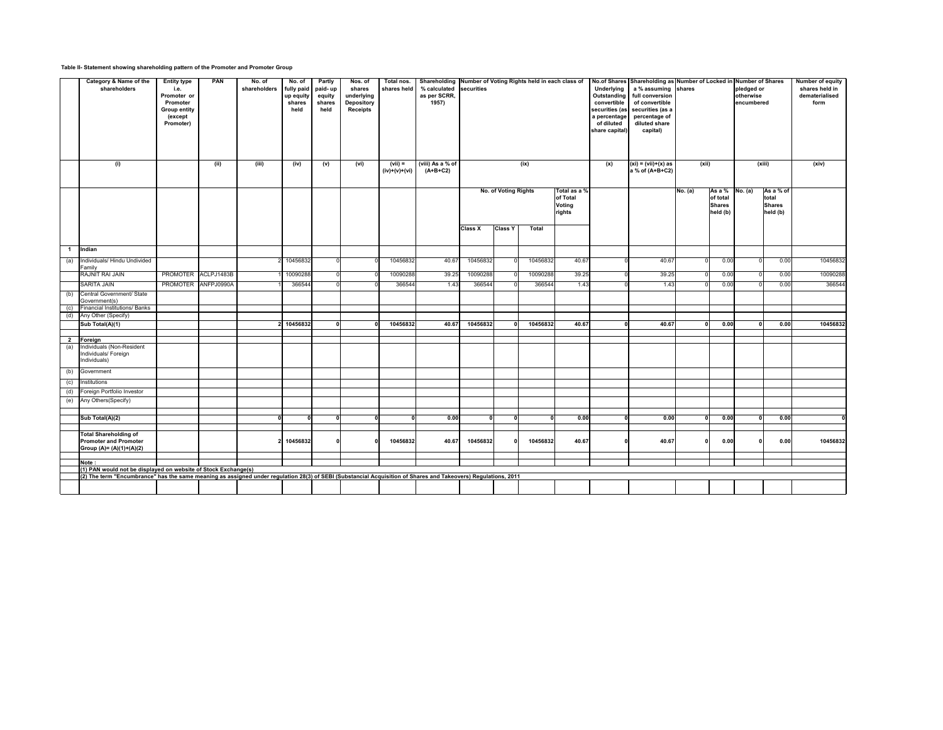**Table II- Statement showing shareholding pattern of the Promoter and Promoter Group**

|                | <b>Category &amp; Name of the</b><br>shareholders                                                                                                              | <b>Entity type</b><br>i.e.<br>Promoter or<br>Promoter<br><b>Group entity</b><br>(except<br>Promoter) | <b>PAN</b>          | No. of<br>shareholders | No. of<br>fully paid<br>up equity<br>shares<br>held | <b>Partly</b><br>paid-up<br>equity<br>shares<br>held | Nos. of<br>shares<br>underlying<br><b>Depository</b><br><b>Receipts</b> | Total nos.<br>shares held | Shareholding Number of Voting Rights held in each class of<br>% calculated securities<br>as per SCRR,<br>1957) |                |                             |              |                                                     | <b>Underlying</b><br>Outstanding<br>convertible<br>securities (as<br>a percentage<br>of diluted<br>share capital) | No.of Shares Shareholding as Number of Locked in Number of Shares<br>a % assuming shares<br>full conversion<br>of convertible<br>securities (as a<br>percentage of<br>diluted share<br>capital) |              |                                                                          | pledged or<br>otherwise<br>encumbered |                                                | <b>Number of equity</b><br>shares held in<br>dematerialised<br>form |
|----------------|----------------------------------------------------------------------------------------------------------------------------------------------------------------|------------------------------------------------------------------------------------------------------|---------------------|------------------------|-----------------------------------------------------|------------------------------------------------------|-------------------------------------------------------------------------|---------------------------|----------------------------------------------------------------------------------------------------------------|----------------|-----------------------------|--------------|-----------------------------------------------------|-------------------------------------------------------------------------------------------------------------------|-------------------------------------------------------------------------------------------------------------------------------------------------------------------------------------------------|--------------|--------------------------------------------------------------------------|---------------------------------------|------------------------------------------------|---------------------------------------------------------------------|
|                | (i)                                                                                                                                                            |                                                                                                      | (ii)                | (iii)                  | (iv)                                                | (v)                                                  | (vi)                                                                    | (vii) =<br>(iv)+(v)+(vi)  | (viii) As a % of<br>$(A+B+C2)$                                                                                 |                |                             | (ix)         |                                                     | (x)                                                                                                               | $(xi) = (vii)+(x)$ as<br>$a$ % of (A+B+C2)                                                                                                                                                      | (xii)        |                                                                          |                                       | (xiii)                                         | (xiv)                                                               |
|                |                                                                                                                                                                |                                                                                                      |                     |                        |                                                     |                                                      |                                                                         |                           |                                                                                                                |                | <b>No. of Voting Rights</b> |              | Total as a %<br>of Total<br><b>Voting</b><br>rights |                                                                                                                   |                                                                                                                                                                                                 | No. (a)      | As a % $\left  No. (a) \right $<br>of total<br><b>Shares</b><br>held (b) |                                       | As a % of<br>total<br><b>Shares</b><br>held(b) |                                                                     |
|                |                                                                                                                                                                |                                                                                                      |                     |                        |                                                     |                                                      |                                                                         |                           |                                                                                                                | <b>Class X</b> | <b>Class Y</b>              | <b>Total</b> |                                                     |                                                                                                                   |                                                                                                                                                                                                 |              |                                                                          |                                       |                                                |                                                                     |
| $\mathbf 1$    | Indian                                                                                                                                                         |                                                                                                      |                     |                        |                                                     |                                                      |                                                                         |                           |                                                                                                                |                |                             |              |                                                     |                                                                                                                   |                                                                                                                                                                                                 |              |                                                                          |                                       |                                                |                                                                     |
| (a)            | Individuals/ Hindu Undivided<br>Family                                                                                                                         |                                                                                                      |                     |                        | 2 10456832                                          |                                                      |                                                                         | 10456832                  | 40.67                                                                                                          | 10456832       |                             | 10456832     | 40.67                                               |                                                                                                                   | 40.67                                                                                                                                                                                           |              | 0.00                                                                     |                                       | 0.00                                           | 10456832                                                            |
|                | <b>RAJNIT RAI JAIN</b>                                                                                                                                         |                                                                                                      | PROMOTER ACLPJ1483B |                        | 10090288                                            |                                                      |                                                                         | 10090288                  | 39.25                                                                                                          | 10090288       |                             | 10090288     | 39.25                                               |                                                                                                                   | 39.25                                                                                                                                                                                           |              | 0.00                                                                     |                                       | 0.00                                           | 10090288                                                            |
|                | <b>SARITA JAIN</b>                                                                                                                                             | PROMOTER ANFPJ0990A                                                                                  |                     |                        | 366544                                              |                                                      |                                                                         | 366544                    | 1.43                                                                                                           | 366544         |                             | 366544       | 1.43                                                |                                                                                                                   | 1.43                                                                                                                                                                                            |              | 0.00                                                                     |                                       | 0.00                                           | 366544                                                              |
| (b)            | Central Government/ State<br>Government(s)                                                                                                                     |                                                                                                      |                     |                        |                                                     |                                                      |                                                                         |                           |                                                                                                                |                |                             |              |                                                     |                                                                                                                   |                                                                                                                                                                                                 |              |                                                                          |                                       |                                                |                                                                     |
| (c)            | <b>Financial Institutions/ Banks</b><br>Any Other (Specify)                                                                                                    |                                                                                                      |                     |                        |                                                     |                                                      |                                                                         |                           |                                                                                                                |                |                             |              |                                                     |                                                                                                                   |                                                                                                                                                                                                 |              |                                                                          |                                       |                                                |                                                                     |
| (d)            | Sub Total(A)(1)                                                                                                                                                |                                                                                                      |                     |                        | 2 10456832                                          | 0l                                                   | 0 I                                                                     | 10456832                  | 40.67                                                                                                          | 10456832       |                             | 10456832     | 40.67                                               |                                                                                                                   | 40.67                                                                                                                                                                                           | $\mathbf{0}$ | 0.00                                                                     |                                       | 0.00<br>$\mathbf 0$                            | 10456832                                                            |
|                |                                                                                                                                                                |                                                                                                      |                     |                        |                                                     |                                                      |                                                                         |                           |                                                                                                                |                |                             |              |                                                     |                                                                                                                   |                                                                                                                                                                                                 |              |                                                                          |                                       |                                                |                                                                     |
| $\overline{2}$ | Foreign                                                                                                                                                        |                                                                                                      |                     |                        |                                                     |                                                      |                                                                         |                           |                                                                                                                |                |                             |              |                                                     |                                                                                                                   |                                                                                                                                                                                                 |              |                                                                          |                                       |                                                |                                                                     |
| (a)            | Individuals (Non-Resident<br>Individuals/ Foreign<br>Individuals)                                                                                              |                                                                                                      |                     |                        |                                                     |                                                      |                                                                         |                           |                                                                                                                |                |                             |              |                                                     |                                                                                                                   |                                                                                                                                                                                                 |              |                                                                          |                                       |                                                |                                                                     |
| (b)            | Government                                                                                                                                                     |                                                                                                      |                     |                        |                                                     |                                                      |                                                                         |                           |                                                                                                                |                |                             |              |                                                     |                                                                                                                   |                                                                                                                                                                                                 |              |                                                                          |                                       |                                                |                                                                     |
| (c)            | Institutions                                                                                                                                                   |                                                                                                      |                     |                        |                                                     |                                                      |                                                                         |                           |                                                                                                                |                |                             |              |                                                     |                                                                                                                   |                                                                                                                                                                                                 |              |                                                                          |                                       |                                                |                                                                     |
| (d)            | Foreign Portfolio Investor                                                                                                                                     |                                                                                                      |                     |                        |                                                     |                                                      |                                                                         |                           |                                                                                                                |                |                             |              |                                                     |                                                                                                                   |                                                                                                                                                                                                 |              |                                                                          |                                       |                                                |                                                                     |
| (e)            | Any Others (Specify)                                                                                                                                           |                                                                                                      |                     |                        |                                                     |                                                      |                                                                         |                           |                                                                                                                |                |                             |              |                                                     |                                                                                                                   |                                                                                                                                                                                                 |              |                                                                          |                                       |                                                |                                                                     |
|                |                                                                                                                                                                |                                                                                                      |                     |                        | - 0                                                 | ΩI                                                   |                                                                         |                           | 0.00                                                                                                           |                |                             |              | 0.00                                                |                                                                                                                   | 0.00                                                                                                                                                                                            |              | 0.00                                                                     |                                       | 0.00<br>$\Omega$                               |                                                                     |
|                | Sub Total(A)(2)                                                                                                                                                |                                                                                                      |                     |                        |                                                     |                                                      |                                                                         |                           |                                                                                                                |                |                             |              |                                                     |                                                                                                                   |                                                                                                                                                                                                 |              |                                                                          |                                       |                                                |                                                                     |
|                | <b>Total Shareholding of</b>                                                                                                                                   |                                                                                                      |                     |                        |                                                     |                                                      |                                                                         |                           |                                                                                                                |                |                             |              |                                                     |                                                                                                                   |                                                                                                                                                                                                 |              |                                                                          |                                       |                                                |                                                                     |
|                | <b>Promoter and Promoter</b><br>Group (A)= (A)(1)+(A)(2)                                                                                                       |                                                                                                      |                     |                        | 10456832                                            |                                                      |                                                                         | 10456832                  | 40.67                                                                                                          | 10456832       |                             | 10456832     | 40.67                                               |                                                                                                                   | 40.67                                                                                                                                                                                           |              | 0.00                                                                     |                                       | $\mathbf{0}$<br>0.00                           | 10456832                                                            |
|                |                                                                                                                                                                |                                                                                                      |                     |                        |                                                     |                                                      |                                                                         |                           |                                                                                                                |                |                             |              |                                                     |                                                                                                                   |                                                                                                                                                                                                 |              |                                                                          |                                       |                                                |                                                                     |
|                | Note:<br>$(1)$ PAN would not be displayed on website of Stock Exchange(s)                                                                                      |                                                                                                      |                     |                        |                                                     |                                                      |                                                                         |                           |                                                                                                                |                |                             |              |                                                     |                                                                                                                   |                                                                                                                                                                                                 |              |                                                                          |                                       |                                                |                                                                     |
|                | (2) The term "Encumbrance" has the same meaning as assigned under regulation 28(3) of SEBI (Substancial Acquisition of Shares and Takeovers) Regulations, 2011 |                                                                                                      |                     |                        |                                                     |                                                      |                                                                         |                           |                                                                                                                |                |                             |              |                                                     |                                                                                                                   |                                                                                                                                                                                                 |              |                                                                          |                                       |                                                |                                                                     |
|                |                                                                                                                                                                |                                                                                                      |                     |                        |                                                     |                                                      |                                                                         |                           |                                                                                                                |                |                             |              |                                                     |                                                                                                                   |                                                                                                                                                                                                 |              |                                                                          |                                       |                                                |                                                                     |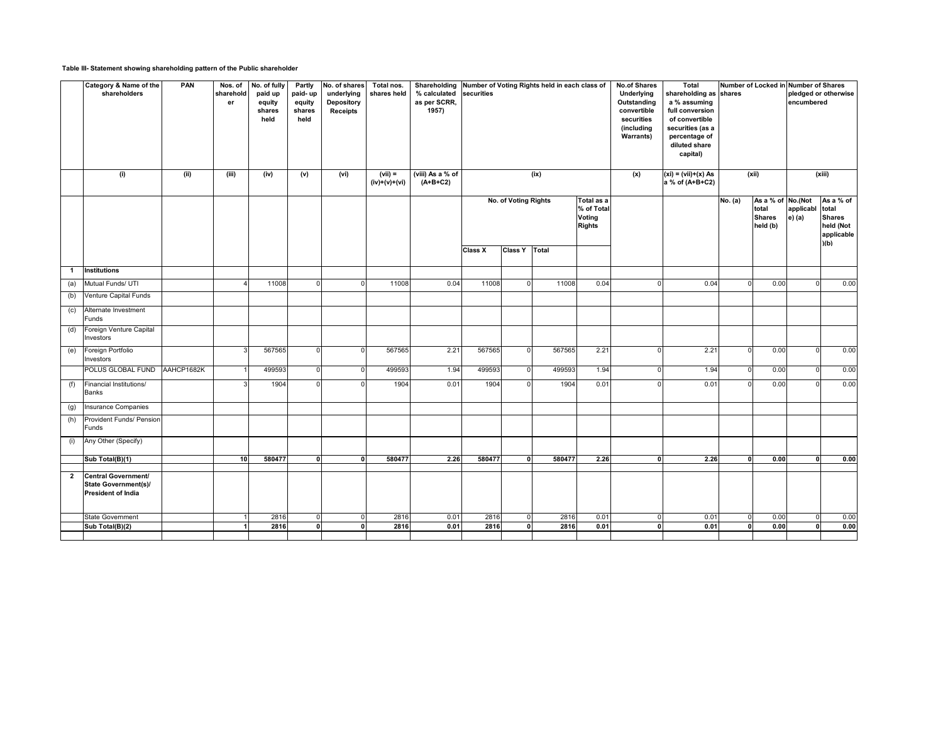# **Table III- Statement showing shareholding pattern of the Public shareholder**

|              | Category & Name of the<br>shareholders                                          | <b>PAN</b> | Nos. of<br>sharehold<br>er | No. of fully<br>paid up<br>equity<br>shares<br>held | <b>Partly</b><br>paid-up<br>equity<br>shares<br>held | No. of shares<br>underlying<br><b>Depository</b><br><b>Receipts</b> | Total nos.<br>shares held  | Shareholding Number of Voting Rights held in each class of<br>% calculated securities<br>as per SCRR,<br>1957) |                |                             |                    |                                                            | <b>No.of Shares</b><br><b>Underlying</b><br><b>Outstanding</b><br>convertible<br>securities<br>(including<br><b>Warrants)</b> | <b>Total</b><br>shareholding as shares<br>a % assuming<br>full conversion<br>of convertible<br>securities (as a<br>percentage of<br>diluted share<br>capital) |         | Number of Locked in Number of Shares<br>encumbered                                                         | pledged or otherwise                                                  |
|--------------|---------------------------------------------------------------------------------|------------|----------------------------|-----------------------------------------------------|------------------------------------------------------|---------------------------------------------------------------------|----------------------------|----------------------------------------------------------------------------------------------------------------|----------------|-----------------------------|--------------------|------------------------------------------------------------|-------------------------------------------------------------------------------------------------------------------------------|---------------------------------------------------------------------------------------------------------------------------------------------------------------|---------|------------------------------------------------------------------------------------------------------------|-----------------------------------------------------------------------|
|              | (i)                                                                             | (ii)       | (iii)                      | (iv)                                                | (v)                                                  | (vi)                                                                | $(vii) =$<br>(iv)+(v)+(vi) | (viii) As a % of<br>$(A+B+C2)$                                                                                 |                |                             | (ix)               |                                                            | (x)                                                                                                                           | $\overline{(xi)} = (vii)+(x) As$<br>a % of (A+B+C2)                                                                                                           |         | (xii)                                                                                                      | (xiii)                                                                |
|              |                                                                                 |            |                            |                                                     |                                                      |                                                                     |                            |                                                                                                                |                | <b>No. of Voting Rights</b> |                    | Total as a<br>% of Total<br><b>Voting</b><br><b>Rights</b> |                                                                                                                               |                                                                                                                                                               | No. (a) | $\overline{As}$ a % of $\overline{No}$ . (Not<br>applicabl<br>total<br><b>Shares</b><br>e) (a)<br>held (b) | As a % of<br>total<br><b>Shares</b><br>held (Not<br>applicable<br>(h) |
|              |                                                                                 |            |                            |                                                     |                                                      |                                                                     |                            |                                                                                                                | <b>Class X</b> | <b>Class Y Total</b>        |                    |                                                            |                                                                                                                               |                                                                                                                                                               |         |                                                                                                            |                                                                       |
| $\mathbf 1$  | Institutions                                                                    |            |                            |                                                     |                                                      |                                                                     |                            |                                                                                                                |                |                             |                    |                                                            |                                                                                                                               |                                                                                                                                                               |         |                                                                                                            |                                                                       |
|              | (a) Mutual Funds/ UTI                                                           |            |                            | 11008                                               | $\Omega$                                             |                                                                     | 11008                      | 0.04                                                                                                           | 11008          |                             | 11008              | 0.04                                                       | $\Omega$                                                                                                                      | 0.04                                                                                                                                                          |         | 0.00                                                                                                       | 0.00<br>$\Omega$                                                      |
| (b)          | Venture Capital Funds                                                           |            |                            |                                                     |                                                      |                                                                     |                            |                                                                                                                |                |                             |                    |                                                            |                                                                                                                               |                                                                                                                                                               |         |                                                                                                            |                                                                       |
| (c)          | Alternate Investment<br>Funds                                                   |            |                            |                                                     |                                                      |                                                                     |                            |                                                                                                                |                |                             |                    |                                                            |                                                                                                                               |                                                                                                                                                               |         |                                                                                                            |                                                                       |
| (d)          | Foreign Venture Capital<br>Investors                                            |            |                            |                                                     |                                                      |                                                                     |                            |                                                                                                                |                |                             |                    |                                                            |                                                                                                                               |                                                                                                                                                               |         |                                                                                                            |                                                                       |
| (e)          | Foreign Portfolio<br>Investors                                                  |            | વ                          | 567565                                              | O                                                    |                                                                     | 567565                     | 2.21                                                                                                           | 567565         | $\Omega$                    | 567565             | 2.21                                                       | $\Omega$                                                                                                                      | 2.21                                                                                                                                                          |         | 0.00<br>$\Omega$                                                                                           | 0.00                                                                  |
|              | POLUS GLOBAL FUND AAHCP1682K                                                    |            | 1 I                        | 499593                                              | $\Omega$                                             | - OI                                                                | 499593                     | 1.94                                                                                                           | 499593         |                             | 499593<br>$\Omega$ | 1.94                                                       | 0                                                                                                                             | 1.94                                                                                                                                                          | 0 I     | 0.00                                                                                                       | 0.00<br> 0                                                            |
| (f)          | Financial Institutions/<br><b>Banks</b>                                         |            | વ                          | 1904                                                |                                                      |                                                                     | 1904                       | 0.01                                                                                                           | 1904           |                             | 1904               | 0.01                                                       |                                                                                                                               | 0.01                                                                                                                                                          |         | 0.00<br>∩                                                                                                  | 0.00                                                                  |
| (g)          | Insurance Companies                                                             |            |                            |                                                     |                                                      |                                                                     |                            |                                                                                                                |                |                             |                    |                                                            |                                                                                                                               |                                                                                                                                                               |         |                                                                                                            |                                                                       |
| (h)          | Provident Funds/ Pension<br>Funds                                               |            |                            |                                                     |                                                      |                                                                     |                            |                                                                                                                |                |                             |                    |                                                            |                                                                                                                               |                                                                                                                                                               |         |                                                                                                            |                                                                       |
| (i)          | Any Other (Specify)                                                             |            |                            |                                                     |                                                      |                                                                     |                            |                                                                                                                |                |                             |                    |                                                            |                                                                                                                               |                                                                                                                                                               |         |                                                                                                            |                                                                       |
|              | $\mathsf{Sub}\ \mathsf{Total}(\mathsf{B})(1)$                                   |            | 10 <sup>1</sup>            | 580477                                              | 0                                                    |                                                                     | 580477                     | 2.26                                                                                                           | 580477         | $\mathbf{u}$                | 580477             | 2.26                                                       | 0                                                                                                                             | 2.26                                                                                                                                                          |         | 0.00                                                                                                       | 0.00<br>ി 0                                                           |
| $\mathbf{2}$ | Central Government/<br><b>State Government(s)/</b><br><b>President of India</b> |            |                            |                                                     |                                                      |                                                                     |                            |                                                                                                                |                |                             |                    |                                                            |                                                                                                                               |                                                                                                                                                               |         |                                                                                                            |                                                                       |
|              | <b>State Government</b>                                                         |            |                            | 2816                                                | $\Omega$                                             | n                                                                   | 2816                       | 0.01                                                                                                           | 2816           | $\Omega$                    | 2816               | 0.01                                                       | 0                                                                                                                             | 0.01                                                                                                                                                          |         | 0.00<br>$\Omega$                                                                                           | 0.00                                                                  |
|              | $\sqrt{\text{Sub Total(B)(2)}}$                                                 |            |                            | 2816                                                | $\Omega$                                             |                                                                     | 2816                       | 0.01                                                                                                           | 2816           |                             | 2816               | 0.01                                                       | 0                                                                                                                             | 0.01                                                                                                                                                          |         | 0.00                                                                                                       | 0.00                                                                  |
|              |                                                                                 |            |                            |                                                     |                                                      |                                                                     |                            |                                                                                                                |                |                             |                    |                                                            |                                                                                                                               |                                                                                                                                                               |         |                                                                                                            |                                                                       |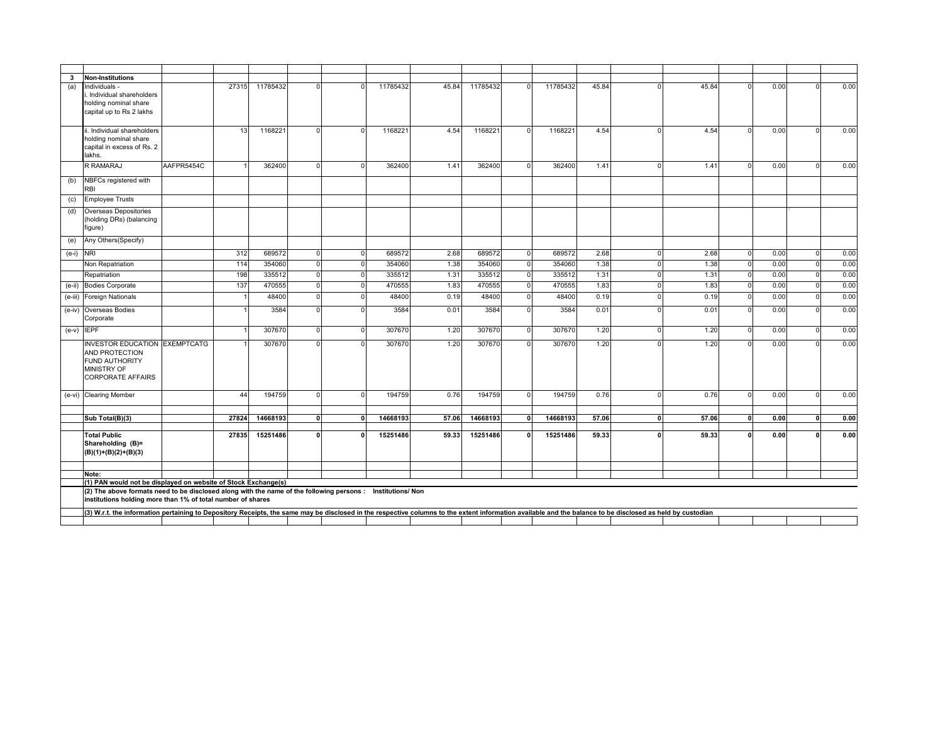| $3\overline{3}$ | <b>Non-Institutions</b>                                                                                                                                                                                    |            |       |          |          |                         |       |          |          |       |   |       |                |      |      |
|-----------------|------------------------------------------------------------------------------------------------------------------------------------------------------------------------------------------------------------|------------|-------|----------|----------|-------------------------|-------|----------|----------|-------|---|-------|----------------|------|------|
| (a)             | Individuals -<br>Individual shareholders<br>nolding nominal share<br>capital up to Rs 2 lakhs                                                                                                              |            | 27315 | 11785432 |          | 11785432                | 45.84 | 11785432 | 11785432 | 45.84 |   | 45.84 |                | 0.00 | 0.00 |
|                 | i. Individual shareholders                                                                                                                                                                                 |            | 13    | 1168221  | $\Omega$ | 1168221                 | 4.54  | 1168221  | 1168221  | 4.54  |   | 4.54  | $\Omega$       | 0.00 | 0.00 |
|                 | nolding nominal share<br>capital in excess of Rs. 2<br>lakhs.                                                                                                                                              |            |       |          |          |                         |       |          |          |       |   |       |                |      |      |
|                 | R RAMARAJ                                                                                                                                                                                                  | AAFPR5454C |       | 362400   | $\cap$   | 362400                  | 1.41  | 362400   | 362400   | 1.41  |   | 1.41  |                | 0.00 | 0.00 |
| (b)             | NBFCs registered with<br>RBI                                                                                                                                                                               |            |       |          |          |                         |       |          |          |       |   |       |                |      |      |
| (c)             | <b>Employee Trusts</b>                                                                                                                                                                                     |            |       |          |          |                         |       |          |          |       |   |       |                |      |      |
| (d)             | <b>Overseas Depositories</b><br>holding DRs) (balancing<br>figure)                                                                                                                                         |            |       |          |          |                         |       |          |          |       |   |       |                |      |      |
| (e)             | Any Others(Specify)                                                                                                                                                                                        |            |       |          |          |                         |       |          |          |       |   |       |                |      |      |
| (e-i)           | <b>NRI</b>                                                                                                                                                                                                 |            | 312   | 689572   | $\Omega$ | 689572                  | 2.68  | 689572   | 689572   | 2.68  |   | 2.68  | $\Omega$       | 0.00 | 0.00 |
|                 | Non Repatriation                                                                                                                                                                                           |            | 114   | 354060   | $\Omega$ | 354060                  | 1.38  | 354060   | 354060   | 1.38  |   | 1.38  | $\Omega$       | 0.00 | 0.00 |
|                 | Repatriation                                                                                                                                                                                               |            | 198   | 335512   | $\Omega$ | 335512                  | 1.31  | 335512   | 335512   | 1.31  | ∩ | 1.31  | $\overline{0}$ | 0.00 | 0.00 |
|                 | (e-ii) Bodies Corporate                                                                                                                                                                                    |            | 137   | 470555   | $\Omega$ | 470555<br>$\cap$        | 1.83  | 470555   | 470555   | 1.83  | ∩ | 1.83  | $\overline{0}$ | 0.00 | 0.00 |
| $(e-iii)$       | Foreign Nationals                                                                                                                                                                                          |            |       | 48400    | $\Omega$ | 48400                   | 0.19  | 48400    | 48400    | 0.19  |   | 0.19  | $\Omega$       | 0.00 | 0.00 |
| $(e-iv)$        | Overseas Bodies<br>Corporate                                                                                                                                                                               |            |       | 3584     | $\Omega$ | 3584                    | 0.01  | 3584     | 3584     | 0.01  |   | 0.01  | $\Omega$       | 0.00 | 0.00 |
|                 | $(e-v)$ IEPF                                                                                                                                                                                               |            |       | 307670   | $\Omega$ | 307670                  | 1.20  | 307670   | 307670   | 1.20  | ∩ | 1.20  | $\Omega$       | 0.00 | 0.00 |
|                 | <b>INVESTOR EDUCATION EXEMPTCATG</b><br>AND PROTECTION<br>FUND AUTHORITY<br><b>MINISTRY OF</b><br>CORPORATE AFFAIRS                                                                                        |            |       | 307670   |          | 307670                  | 1.20  | 307670   | 307670   | 1.20  |   | 1.20  |                | 0.00 | 0.00 |
|                 | (e-vi) Clearing Member                                                                                                                                                                                     |            | 44    | 194759   | $\Omega$ | 194759                  | 0.76  | 194759   | 194759   | 0.76  |   | 0.76  | $\Omega$       | 0.00 | 0.00 |
|                 | Sub Total(B)(3)                                                                                                                                                                                            |            | 27824 | 14668193 | 0        | 14668193                | 57.06 | 14668193 | 14668193 | 57.06 |   | 57.06 | n              | 0.00 | 0.00 |
|                 |                                                                                                                                                                                                            |            |       |          |          |                         |       |          |          |       |   |       |                |      |      |
|                 | <b>Total Public</b><br>Shareholding (B)=<br>$(B)(1)+(B)(2)+(B)(3)$                                                                                                                                         |            | 27835 | 15251486 | $\Omega$ | 15251486                | 59.33 | 15251486 | 15251486 | 59.33 |   | 59.33 | $\Omega$       | 0.00 | 0.00 |
|                 |                                                                                                                                                                                                            |            |       |          |          |                         |       |          |          |       |   |       |                |      |      |
|                 | Note:<br>(1) PAN would not be displayed on website of Stock Exchange(s)                                                                                                                                    |            |       |          |          |                         |       |          |          |       |   |       |                |      |      |
|                 | (2) The above formats need to be disclosed along with the name of the following persons :<br>institutions holding more than 1% of total number of shares                                                   |            |       |          |          | <b>Institutions/Non</b> |       |          |          |       |   |       |                |      |      |
|                 | (3) W.r.t. the information pertaining to Depository Receipts, the same may be disclosed in the respective columns to the extent information available and the balance to be disclosed as held by custodian |            |       |          |          |                         |       |          |          |       |   |       |                |      |      |
|                 |                                                                                                                                                                                                            |            |       |          |          |                         |       |          |          |       |   |       |                |      |      |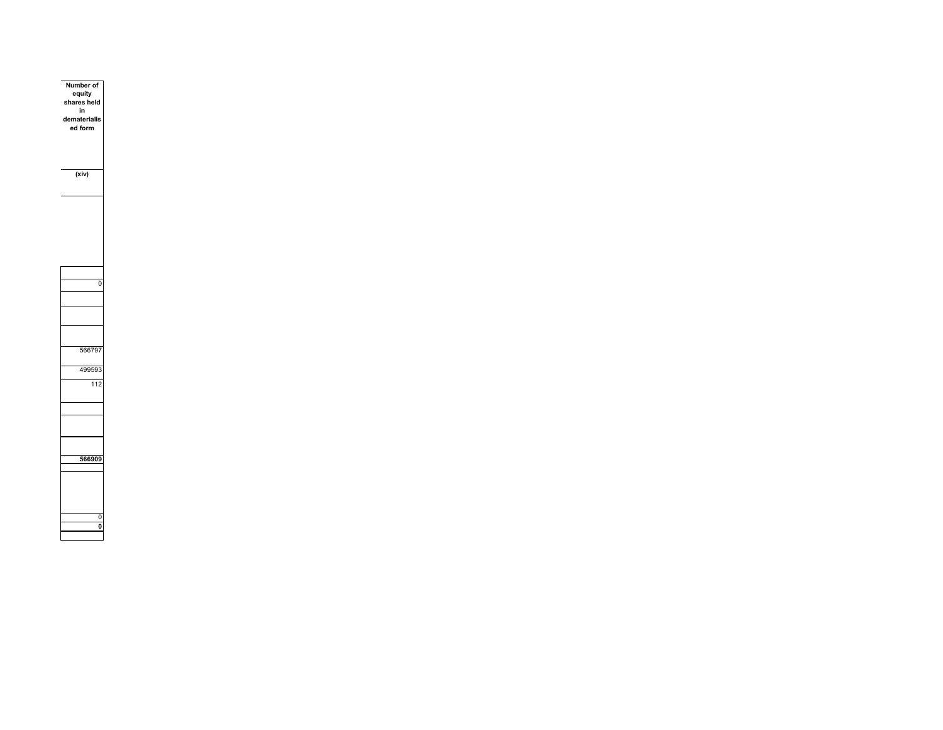| Number of<br>equity<br>shares held<br>in<br>dematerialis<br>ed form<br>(xiv) |  |
|------------------------------------------------------------------------------|--|
|                                                                              |  |
| 0                                                                            |  |
| 566797                                                                       |  |
| 499593<br>$\overline{112}$                                                   |  |
|                                                                              |  |
| 566909                                                                       |  |
|                                                                              |  |
| $\mathbf{0}$<br>$\overline{\mathbf{0}}$                                      |  |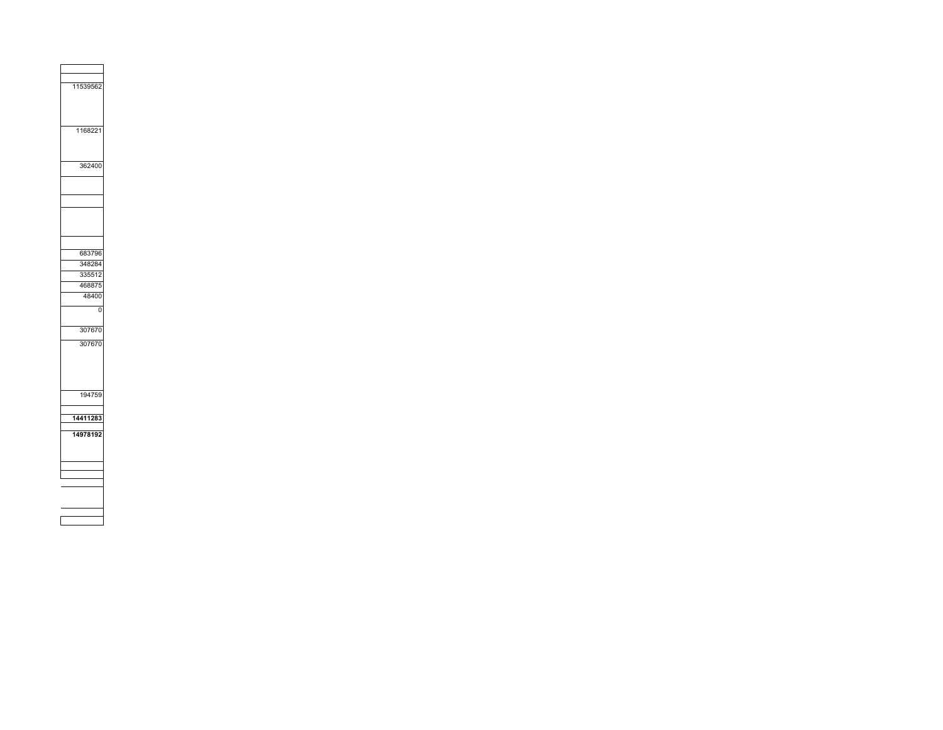| 11539562 |  |  |
|----------|--|--|
|          |  |  |
|          |  |  |
|          |  |  |
|          |  |  |
| 1168221  |  |  |
|          |  |  |
|          |  |  |
|          |  |  |
| 362400   |  |  |
|          |  |  |
|          |  |  |
|          |  |  |
|          |  |  |
|          |  |  |
|          |  |  |
|          |  |  |
|          |  |  |
|          |  |  |
| 683796   |  |  |
| 348284   |  |  |
| 335512   |  |  |
|          |  |  |
| 468875   |  |  |
| 48400    |  |  |
| 0        |  |  |
|          |  |  |
| 307670   |  |  |
|          |  |  |
| 307670   |  |  |
|          |  |  |
|          |  |  |
|          |  |  |
|          |  |  |
|          |  |  |
| 194759   |  |  |
|          |  |  |
| 14411283 |  |  |
|          |  |  |
| 14978192 |  |  |
|          |  |  |
|          |  |  |
|          |  |  |
|          |  |  |
|          |  |  |
|          |  |  |
|          |  |  |
|          |  |  |
|          |  |  |
|          |  |  |

<u> The Communication of</u>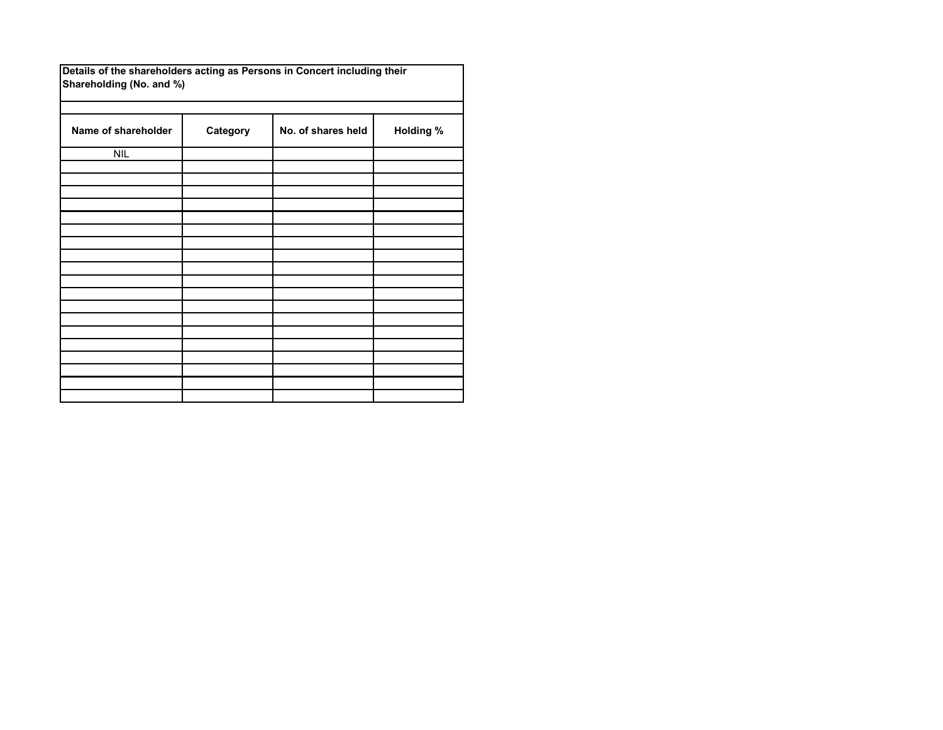|  |                          |  | Details of the shareholders acting as Persons in Concert including their |
|--|--------------------------|--|--------------------------------------------------------------------------|
|  | Shareholding (No. and %) |  |                                                                          |

| Name of shareholder | Category | No. of shares held | <b>Holding %</b> |
|---------------------|----------|--------------------|------------------|
| <b>NIL</b>          |          |                    |                  |
|                     |          |                    |                  |
|                     |          |                    |                  |
|                     |          |                    |                  |
|                     |          |                    |                  |
|                     |          |                    |                  |
|                     |          |                    |                  |
|                     |          |                    |                  |
|                     |          |                    |                  |
|                     |          |                    |                  |
|                     |          |                    |                  |
|                     |          |                    |                  |
|                     |          |                    |                  |
|                     |          |                    |                  |
|                     |          |                    |                  |
|                     |          |                    |                  |
|                     |          |                    |                  |
|                     |          |                    |                  |
|                     |          |                    |                  |
|                     |          |                    |                  |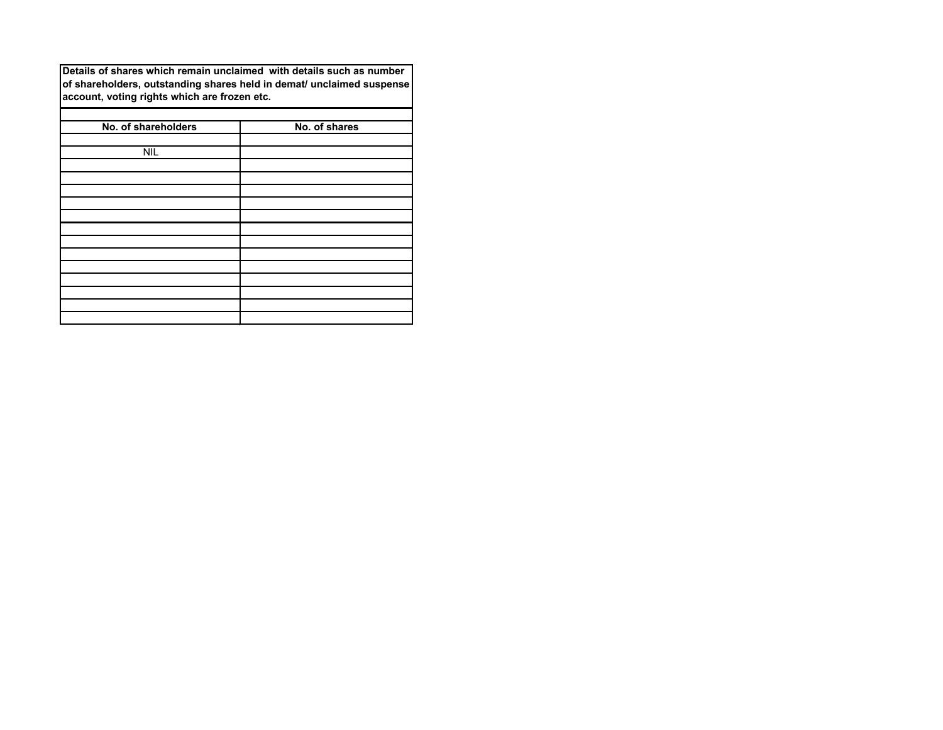**Details of shares which remain unclaimed with details such as number of shareholders, outstanding shares held in demat/ unclaimed suspense account, voting rights which are frozen etc.**

| No. of shareholders | No. of shares |
|---------------------|---------------|
| <b>NIL</b>          |               |
|                     |               |
|                     |               |
|                     |               |
|                     |               |
|                     |               |
|                     |               |
|                     |               |
|                     |               |
|                     |               |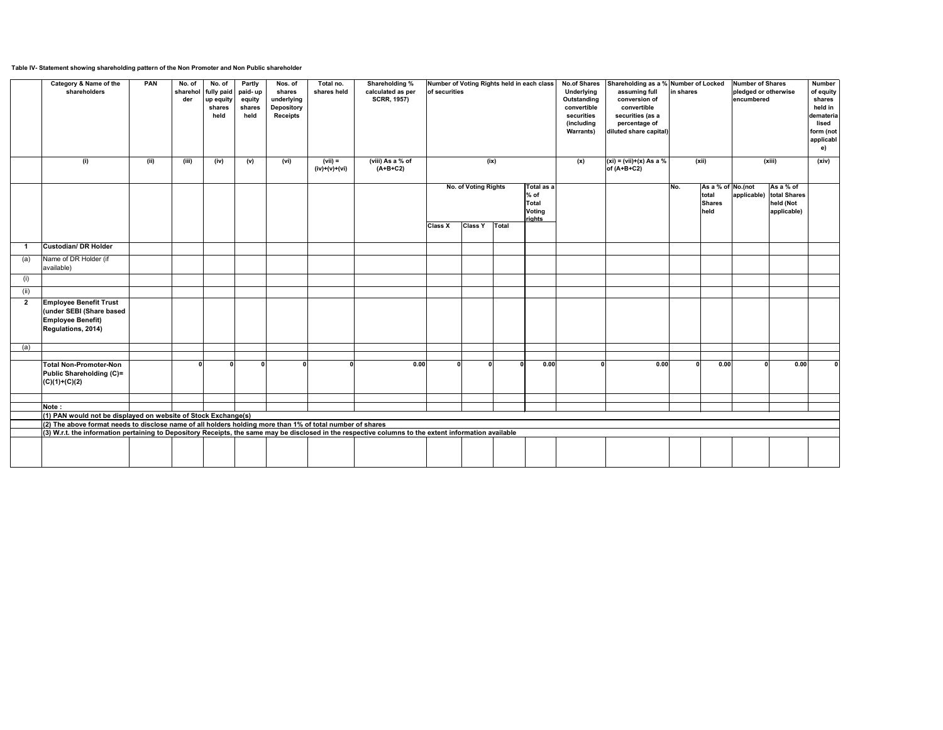# **Table IV- Statement showing shareholding pattern of the Non Promoter and Non Public shareholder**

|                | <b>Category &amp; Name of the</b><br>shareholders                                                                                                     | <b>PAN</b> | No. of<br>der | No. of<br>sharehol   fully paid   paid- up<br>up equity<br>shares<br>held | <b>Partly</b><br>equity<br>shares<br>held | Nos. of<br>shares<br>underlying<br><b>Depository</b><br><b>Receipts</b> | Total no.<br>shares held | <b>Shareholding %</b><br>calculated as per<br><b>SCRR, 1957)</b> | of securities  | Number of Voting Rights held in each class |                                                                 | <b>No.of Shares</b><br><b>Underlying</b><br>Outstanding<br>convertible<br>securities<br>(including<br><b>Warrants)</b> | Shareholding as a % Number of Locked<br>assuming full<br>conversion of<br>convertible<br>securities (as a<br>percentage of<br>diluted share capital) | in shares |                                                       | <b>Number of Shares</b><br>pledged or otherwise<br>encumbered |                                                       | <b>Number</b><br>of equity<br>shares<br>held in<br>demateria<br>lised<br>form (not<br>applicabl<br>e) |
|----------------|-------------------------------------------------------------------------------------------------------------------------------------------------------|------------|---------------|---------------------------------------------------------------------------|-------------------------------------------|-------------------------------------------------------------------------|--------------------------|------------------------------------------------------------------|----------------|--------------------------------------------|-----------------------------------------------------------------|------------------------------------------------------------------------------------------------------------------------|------------------------------------------------------------------------------------------------------------------------------------------------------|-----------|-------------------------------------------------------|---------------------------------------------------------------|-------------------------------------------------------|-------------------------------------------------------------------------------------------------------|
|                | (i)                                                                                                                                                   | (ii)       | (iii)         | (iv)                                                                      | (v)                                       | (vi)                                                                    | (vii) =<br>(iv)+(v)+(vi) | (viii) As a % of<br>$(A+B+C2)$                                   |                | (ix)                                       |                                                                 | (x)                                                                                                                    | $(xi) = (vii)+(x) As a %$<br>of $(A+B+C2)$                                                                                                           |           | (xii)                                                 |                                                               | (xiii)                                                | (xiv)                                                                                                 |
|                |                                                                                                                                                       |            |               |                                                                           |                                           |                                                                         |                          |                                                                  |                | <b>No. of Voting Rights</b>                | Total as a<br>$%$ of<br><b>Total</b><br><b>Voting</b><br>rights |                                                                                                                        |                                                                                                                                                      | No.       | As a % of $No.(not$<br>total<br><b>Shares</b><br>held | applicable)                                                   | As a % of<br>total Shares<br>held (Not<br>applicable) |                                                                                                       |
|                |                                                                                                                                                       |            |               |                                                                           |                                           |                                                                         |                          |                                                                  | <b>Class X</b> | <b>Class Y</b><br>Total                    |                                                                 |                                                                                                                        |                                                                                                                                                      |           |                                                       |                                                               |                                                       |                                                                                                       |
|                | <b>Custodian/DR Holder</b>                                                                                                                            |            |               |                                                                           |                                           |                                                                         |                          |                                                                  |                |                                            |                                                                 |                                                                                                                        |                                                                                                                                                      |           |                                                       |                                                               |                                                       |                                                                                                       |
| (a)            | Name of DR Holder (if<br>available)                                                                                                                   |            |               |                                                                           |                                           |                                                                         |                          |                                                                  |                |                                            |                                                                 |                                                                                                                        |                                                                                                                                                      |           |                                                       |                                                               |                                                       |                                                                                                       |
| (i)            |                                                                                                                                                       |            |               |                                                                           |                                           |                                                                         |                          |                                                                  |                |                                            |                                                                 |                                                                                                                        |                                                                                                                                                      |           |                                                       |                                                               |                                                       |                                                                                                       |
| (ii)           |                                                                                                                                                       |            |               |                                                                           |                                           |                                                                         |                          |                                                                  |                |                                            |                                                                 |                                                                                                                        |                                                                                                                                                      |           |                                                       |                                                               |                                                       |                                                                                                       |
| $\overline{2}$ | <b>Employee Benefit Trust</b><br>(under SEBI (Share based<br><b>Employee Benefit)</b><br>Regulations, 2014)                                           |            |               |                                                                           |                                           |                                                                         |                          |                                                                  |                |                                            |                                                                 |                                                                                                                        |                                                                                                                                                      |           |                                                       |                                                               |                                                       |                                                                                                       |
| (a)            |                                                                                                                                                       |            |               |                                                                           |                                           |                                                                         |                          |                                                                  |                |                                            |                                                                 |                                                                                                                        |                                                                                                                                                      |           |                                                       |                                                               |                                                       |                                                                                                       |
|                | <b>Total Non-Promoter-Non</b><br><b>Public Shareholding (C)=</b><br>$(C)(1)+(C)(2)$                                                                   |            |               |                                                                           |                                           |                                                                         |                          | 0.00                                                             |                |                                            | 0.00                                                            |                                                                                                                        | 0.00                                                                                                                                                 |           | 0.00                                                  |                                                               | 0.00                                                  |                                                                                                       |
|                |                                                                                                                                                       |            |               |                                                                           |                                           |                                                                         |                          |                                                                  |                |                                            |                                                                 |                                                                                                                        |                                                                                                                                                      |           |                                                       |                                                               |                                                       |                                                                                                       |
|                | Note:<br>(1) PAN would not be displayed on website of Stock Exchange(s)                                                                               |            |               |                                                                           |                                           |                                                                         |                          |                                                                  |                |                                            |                                                                 |                                                                                                                        |                                                                                                                                                      |           |                                                       |                                                               |                                                       |                                                                                                       |
|                | $(2)$ The above format needs to disclose name of all holders holding more than 1% of total number of shares                                           |            |               |                                                                           |                                           |                                                                         |                          |                                                                  |                |                                            |                                                                 |                                                                                                                        |                                                                                                                                                      |           |                                                       |                                                               |                                                       |                                                                                                       |
|                | (3) W.r.t. the information pertaining to Depository Receipts, the same may be disclosed in the respective columns to the extent information available |            |               |                                                                           |                                           |                                                                         |                          |                                                                  |                |                                            |                                                                 |                                                                                                                        |                                                                                                                                                      |           |                                                       |                                                               |                                                       |                                                                                                       |
|                |                                                                                                                                                       |            |               |                                                                           |                                           |                                                                         |                          |                                                                  |                |                                            |                                                                 |                                                                                                                        |                                                                                                                                                      |           |                                                       |                                                               |                                                       |                                                                                                       |